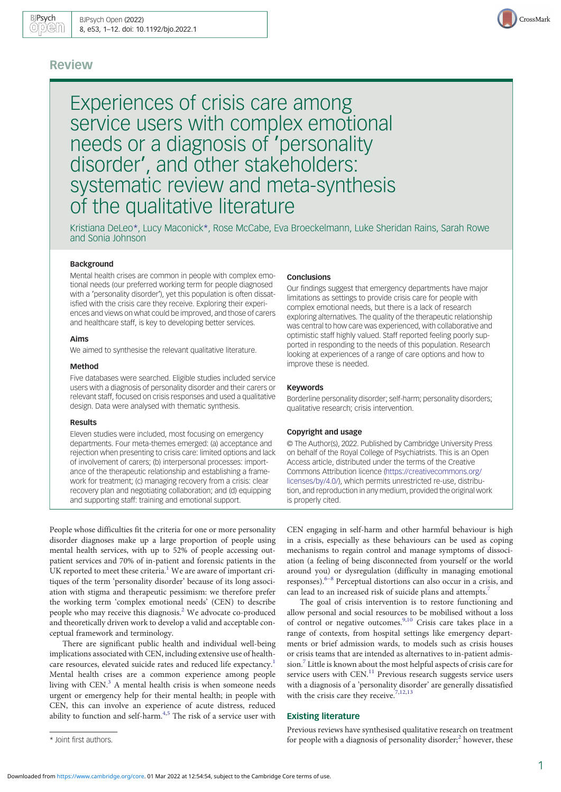# Review

Experiences of crisis care among service users with complex emotional needs or a diagnosis of 'personality disorder', and other stakeholders: systematic review and meta-synthesis of the qualitative literature

Kristiana DeLeo\*, Lucy Maconick\*, Rose McCabe, Eva Broeckelmann, Luke Sheridan Rains, Sarah Rowe and Sonia Johnson

#### Background

Mental health crises are common in people with complex emotional needs (our preferred working term for people diagnosed with a 'personality disorder'), yet this population is often dissatisfied with the crisis care they receive. Exploring their experiences and views on what could be improved, and those of carers and healthcare staff, is key to developing better services.

## Aims

We aimed to synthesise the relevant qualitative literature.

#### Method

Five databases were searched. Eligible studies included service users with a diagnosis of personality disorder and their carers or relevant staff, focused on crisis responses and used a qualitative design. Data were analysed with thematic synthesis.

#### Results

Eleven studies were included, most focusing on emergency departments. Four meta-themes emerged: (a) acceptance and rejection when presenting to crisis care: limited options and lack of involvement of carers; (b) interpersonal processes: importance of the therapeutic relationship and establishing a framework for treatment; (c) managing recovery from a crisis: clear recovery plan and negotiating collaboration; and (d) equipping and supporting staff: training and emotional support.

People whose difficulties fit the criteria for one or more personality disorder diagnoses make up a large proportion of people using mental health services, with up to 52% of people accessing outpatient services and 70% of in-patient and forensic patients in the UK reported to meet these criteria.<sup>1</sup> We are aware of important critiques of the term 'personality disorder' because of its long association with stigma and therapeutic pessimism: we therefore prefer the working term 'complex emotional needs' (CEN) to describe people who may receive this diagnosis.[2](#page-11-0) We advocate co-produced and theoretically driven work to develop a valid and acceptable conceptual framework and terminology.

There are significant public health and individual well-being implications associated with CEN, including extensive use of health-care resources, elevated suicide rates and reduced life expectancy.<sup>[1](#page-10-0)</sup> Mental health crises are a common experience among people living with CEN.<sup>[3](#page-11-0)</sup> A mental health crisis is when someone needs urgent or emergency help for their mental health; in people with CEN, this can involve an experience of acute distress, reduced ability to function and self-harm.<sup>[4,5](#page-11-0)</sup> The risk of a service user with

#### Conclusions

Our findings suggest that emergency departments have major limitations as settings to provide crisis care for people with complex emotional needs, but there is a lack of research exploring alternatives. The quality of the therapeutic relationship was central to how care was experienced, with collaborative and optimistic staff highly valued. Staff reported feeling poorly supported in responding to the needs of this population. Research looking at experiences of a range of care options and how to improve these is needed.

#### Keywords

Borderline personality disorder; self-harm; personality disorders; qualitative research; crisis intervention.

#### Copyright and usage

© The Author(s), 2022. Published by Cambridge University Press on behalf of the Royal College of Psychiatrists. This is an Open Access article, distributed under the terms of the Creative Commons Attribution licence [\(https://creativecommons.org/](https://creativecommons.org/licenses/by/4.0/) [licenses/by/4.0/](https://creativecommons.org/licenses/by/4.0/)), which permits unrestricted re-use, distribution, and reproduction in any medium, provided the original work is properly cited.

CEN engaging in self-harm and other harmful behaviour is high in a crisis, especially as these behaviours can be used as coping mechanisms to regain control and manage symptoms of dissociation (a feeling of being disconnected from yourself or the world around you) or dysregulation (difficulty in managing emotional responses).<sup>[6](#page-11-0)-[8](#page-11-0)</sup> Perceptual distortions can also occur in a crisis, and can lead to an increased risk of suicide plans and attempts.<sup>7</sup>

The goal of crisis intervention is to restore functioning and allow personal and social resources to be mobilised without a loss of control or negative outcomes.[9](#page-11-0),[10](#page-11-0) Crisis care takes place in a range of contexts, from hospital settings like emergency departments or brief admission wards, to models such as crisis houses or crisis teams that are intended as alternatives to in-patient admission.[7](#page-11-0) Little is known about the most helpful aspects of crisis care for service users with CEN.<sup>11</sup> Previous research suggests service users with a diagnosis of a 'personality disorder' are generally dissatisfied with the crisis care they receive.<sup>[7,12](#page-11-0),[13](#page-11-0)</sup>

#### Existing literature

Previous reviews have synthesised qualitative research on treatment \* Joint first authors. **the contract of people with a diagnosis of personality disorder;<sup>[2](#page-11-0)</sup> however, these** 

CrossMark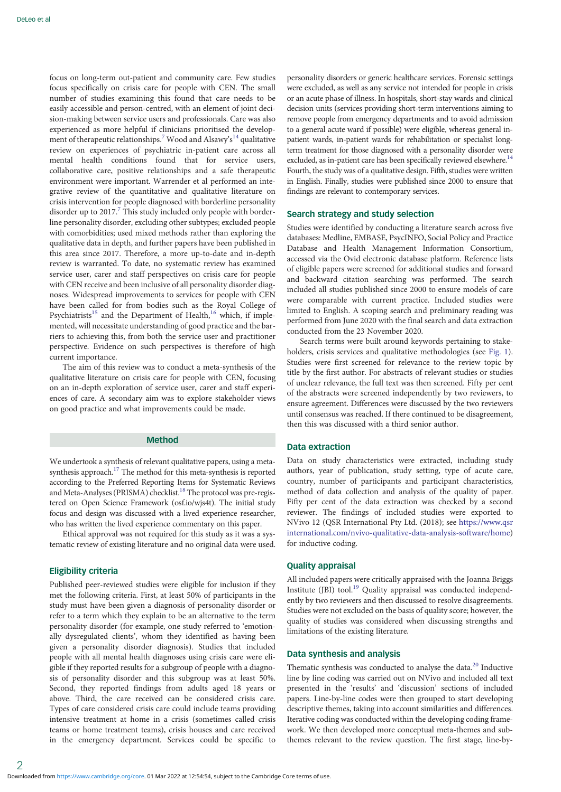focus on long-term out-patient and community care. Few studies focus specifically on crisis care for people with CEN. The small number of studies examining this found that care needs to be easily accessible and person-centred, with an element of joint decision-making between service users and professionals. Care was also experienced as more helpful if clinicians prioritised the develop-ment of therapeutic relationships.<sup>[7](#page-11-0)</sup> Wood and Alsawy's<sup>[14](#page-11-0)</sup> qualitative review on experiences of psychiatric in-patient care across all mental health conditions found that for service users, collaborative care, positive relationships and a safe therapeutic environment were important. Warrender et al performed an integrative review of the quantitative and qualitative literature on crisis intervention for people diagnosed with borderline personality disorder up to  $2017<sup>7</sup>$  $2017<sup>7</sup>$  $2017<sup>7</sup>$ . This study included only people with borderline personality disorder, excluding other subtypes; excluded people with comorbidities; used mixed methods rather than exploring the qualitative data in depth, and further papers have been published in this area since 2017. Therefore, a more up-to-date and in-depth review is warranted. To date, no systematic review has examined service user, carer and staff perspectives on crisis care for people with CEN receive and been inclusive of all personality disorder diagnoses. Widespread improvements to services for people with CEN have been called for from bodies such as the Royal College of Psychiatrists<sup>15</sup> and the Department of Health,<sup>[16](#page-11-0)</sup> which, if implemented, will necessitate understanding of good practice and the barriers to achieving this, from both the service user and practitioner perspective. Evidence on such perspectives is therefore of high current importance.

The aim of this review was to conduct a meta-synthesis of the qualitative literature on crisis care for people with CEN, focusing on an in-depth exploration of service user, carer and staff experiences of care. A secondary aim was to explore stakeholder views on good practice and what improvements could be made.

# Method

We undertook a synthesis of relevant qualitative papers, using a metasynthesis approach.<sup>17</sup> The method for this meta-synthesis is reported according to the Preferred Reporting Items for Systematic Reviews and Meta-Analyses (PRISMA) checklist.<sup>[18](#page-11-0)</sup> The protocol was pre-registered on Open Science Framework (osf.io/wjs4t). The initial study focus and design was discussed with a lived experience researcher, who has written the lived experience commentary on this paper.

Ethical approval was not required for this study as it was a systematic review of existing literature and no original data were used.

# Eligibility criteria

Published peer-reviewed studies were eligible for inclusion if they met the following criteria. First, at least 50% of participants in the study must have been given a diagnosis of personality disorder or refer to a term which they explain to be an alternative to the term personality disorder (for example, one study referred to 'emotionally dysregulated clients', whom they identified as having been given a personality disorder diagnosis). Studies that included people with all mental health diagnoses using crisis care were eligible if they reported results for a subgroup of people with a diagnosis of personality disorder and this subgroup was at least 50%. Second, they reported findings from adults aged 18 years or above. Third, the care received can be considered crisis care. Types of care considered crisis care could include teams providing intensive treatment at home in a crisis (sometimes called crisis teams or home treatment teams), crisis houses and care received in the emergency department. Services could be specific to

personality disorders or generic healthcare services. Forensic settings were excluded, as well as any service not intended for people in crisis or an acute phase of illness. In hospitals, short-stay wards and clinical decision units (services providing short-term interventions aiming to remove people from emergency departments and to avoid admission to a general acute ward if possible) were eligible, whereas general inpatient wards, in-patient wards for rehabilitation or specialist longterm treatment for those diagnosed with a personality disorder were excluded, as in-patient care has been specifically reviewed elsewhere.<sup>14</sup> Fourth, the study was of a qualitative design. Fifth, studies were written in English. Finally, studies were published since 2000 to ensure that findings are relevant to contemporary services.

# Search strategy and study selection

Studies were identified by conducting a literature search across five databases: Medline, EMBASE, PsycINFO, Social Policy and Practice Database and Health Management Information Consortium, accessed via the Ovid electronic database platform. Reference lists of eligible papers were screened for additional studies and forward and backward citation searching was performed. The search included all studies published since 2000 to ensure models of care were comparable with current practice. Included studies were limited to English. A scoping search and preliminary reading was performed from June 2020 with the final search and data extraction conducted from the 23 November 2020.

Search terms were built around keywords pertaining to stakeholders, crisis services and qualitative methodologies (see [Fig. 1](#page-2-0)). Studies were first screened for relevance to the review topic by title by the first author. For abstracts of relevant studies or studies of unclear relevance, the full text was then screened. Fifty per cent of the abstracts were screened independently by two reviewers, to ensure agreement. Differences were discussed by the two reviewers until consensus was reached. If there continued to be disagreement, then this was discussed with a third senior author.

# Data extraction

Data on study characteristics were extracted, including study authors, year of publication, study setting, type of acute care, country, number of participants and participant characteristics, method of data collection and analysis of the quality of paper. Fifty per cent of the data extraction was checked by a second reviewer. The findings of included studies were exported to NVivo 12 (QSR International Pty Ltd. (2018); see [https://www.qsr](https://www.qsrinternational.com/nvivo-qualitative-data-analysis-software/home) [international.com/nvivo-qualitative-data-analysis-software/home](https://www.qsrinternational.com/nvivo-qualitative-data-analysis-software/home)) for inductive coding.

# Quality appraisal

All included papers were critically appraised with the Joanna Briggs Institute (JBI) tool.<sup>[19](#page-11-0)</sup> Quality appraisal was conducted independently by two reviewers and then discussed to resolve disagreements. Studies were not excluded on the basis of quality score; however, the quality of studies was considered when discussing strengths and limitations of the existing literature.

#### Data synthesis and analysis

Thematic synthesis was conducted to analyse the data.<sup>[20](#page-11-0)</sup> Inductive line by line coding was carried out on NVivo and included all text presented in the 'results' and 'discussion' sections of included papers. Line-by-line codes were then grouped to start developing descriptive themes, taking into account similarities and differences. Iterative coding was conducted within the developing coding framework. We then developed more conceptual meta-themes and subthemes relevant to the review question. The first stage, line-by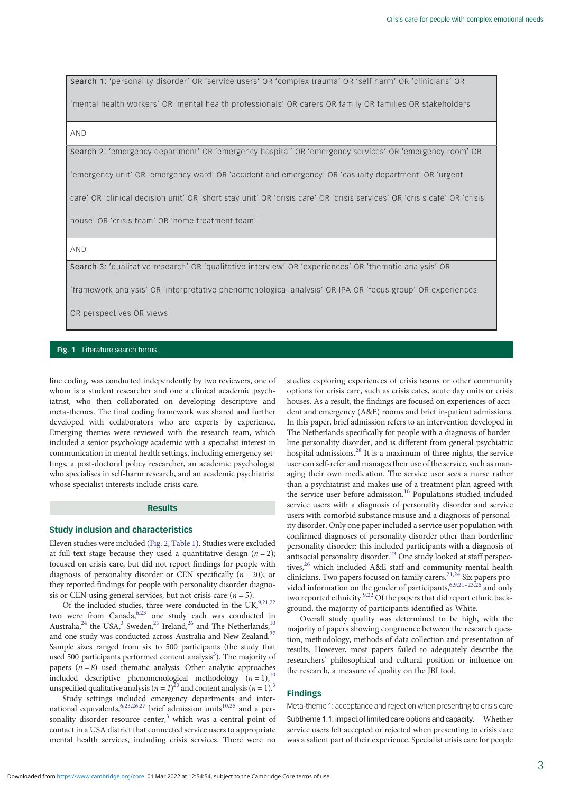<span id="page-2-0"></span>Search 1: 'personality disorder' OR 'service users' OR 'complex trauma' OR 'self harm' OR 'clinicians' OR

'mental health workers' OR 'mental health professionals' OR carers OR family OR families OR stakeholders

#### AND

Search 2: 'emergency department' OR 'emergency hospital' OR 'emergency services' OR 'emergency room' OR

'emergency unit' OR 'emergency ward' OR 'accident and emergency' OR 'casualty department' OR 'urgent

care' OR 'clinical decision unit' OR 'short stay unit' OR 'crisis care' OR 'crisis services' OR 'crisis café' OR 'crisis

house' OR 'crisis team' OR 'home treatment team'

AND

Search 3: 'qualitative research' OR 'qualitative interview' OR 'experiences' OR 'thematic analysis' OR

'framework analysis' OR 'interpretative phenomenological analysis' OR IPA OR 'focus group' OR experiences

OR perspectives OR views

#### Fig. 1 Literature search terms.

line coding, was conducted independently by two reviewers, one of whom is a student researcher and one a clinical academic psychiatrist, who then collaborated on developing descriptive and meta-themes. The final coding framework was shared and further developed with collaborators who are experts by experience. Emerging themes were reviewed with the research team, which included a senior psychology academic with a specialist interest in communication in mental health settings, including emergency settings, a post-doctoral policy researcher, an academic psychologist who specialises in self-harm research, and an academic psychiatrist whose specialist interests include crisis care.

#### Results

#### Study inclusion and characteristics

Eleven studies were included ([Fig. 2](#page-3-0), [Table 1\)](#page-4-0). Studies were excluded at full-text stage because they used a quantitative design  $(n = 2)$ ; focused on crisis care, but did not report findings for people with diagnosis of personality disorder or CEN specifically  $(n = 20)$ ; or they reported findings for people with personality disorder diagnosis or CEN using general services, but not crisis care  $(n = 5)$ .

Of the included studies, three were conducted in the UK,  $9,21,22$ two were from Canada,<sup>6,[23](#page-11-0)</sup> one study each was conducted in Australia,<sup>24</sup> the USA,<sup>[3](#page-11-0)</sup> Sweden,<sup>[25](#page-11-0)</sup> Ireland,<sup>26</sup> and The Netherlands,<sup>10</sup> and one study was conducted across Australia and New Zealand.<sup>27</sup> Sample sizes ranged from six to 500 participants (the study that used 500 participants performed content analysis<sup>3</sup>). The majority of papers  $(n=8)$  used thematic analysis. Other analytic approaches included descriptive phenomenological methodology  $(n = 1)$ ,<sup>10</sup> unspecified qualitative analysis ( $n = 1$ )<sup>[23](#page-11-0)</sup> and content analysis ( $n = 1$ ).<sup>3</sup>

Study settings included emergency departments and international equivalents,  $6,23,26,27$  brief admission units<sup>[10](#page-11-0),[25](#page-11-0)</sup> and a personality disorder resource center, $3$  which was a central point of contact in a USA district that connected service users to appropriate mental health services, including crisis services. There were no studies exploring experiences of crisis teams or other community options for crisis care, such as crisis cafes, acute day units or crisis houses. As a result, the findings are focused on experiences of accident and emergency (A&E) rooms and brief in-patient admissions. In this paper, brief admission refers to an intervention developed in The Netherlands specifically for people with a diagnosis of borderline personality disorder, and is different from general psychiatric hospital admissions.[28](#page-11-0) It is a maximum of three nights, the service user can self-refer and manages their use of the service, such as managing their own medication. The service user sees a nurse rather than a psychiatrist and makes use of a treatment plan agreed with the service user before admission.<sup>[10](#page-11-0)</sup> Populations studied included service users with a diagnosis of personality disorder and service users with comorbid substance misuse and a diagnosis of personality disorder. Only one paper included a service user population with confirmed diagnoses of personality disorder other than borderline personality disorder: this included participants with a diagnosis of antisocial personality disorder.<sup>[23](#page-11-0)</sup> One study looked at staff perspec-tives,<sup>[26](#page-11-0)</sup> which included A&E staff and community mental health clinicians. Two papers focused on family carers.<sup>[21,24](#page-11-0)</sup> Six papers pro-vided information on the gender of participants,<sup>6,[9](#page-11-0),[21](#page-11-0)–[23,26](#page-11-0)</sup> and only two reported ethnicity.<sup>9,22</sup> Of the papers that did report ethnic background, the majority of participants identified as White.

Overall study quality was determined to be high, with the majority of papers showing congruence between the research question, methodology, methods of data collection and presentation of results. However, most papers failed to adequately describe the researchers' philosophical and cultural position or influence on the research, a measure of quality on the JBI tool.

# Findings

Meta-theme 1: acceptance and rejection when presenting to crisis care

Subtheme 1.1: impact of limited care options and capacity. Whether service users felt accepted or rejected when presenting to crisis care was a salient part of their experience. Specialist crisis care for people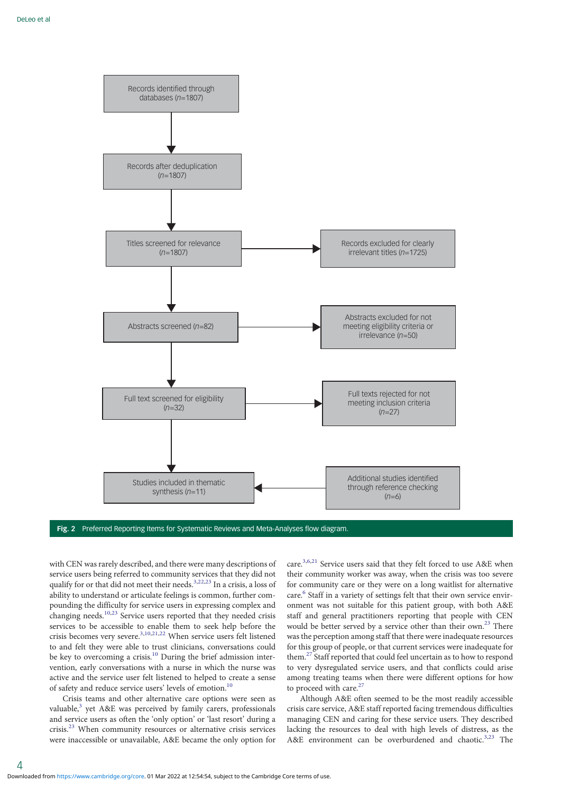<span id="page-3-0"></span>

Fig. 2 Preferred Reporting Items for Systematic Reviews and Meta-Analyses flow diagram.

with CEN was rarely described, and there were many descriptions of service users being referred to community services that they did not qualify for or that did not meet their needs.<sup>[3,22,23](#page-11-0)</sup> In a crisis, a loss of ability to understand or articulate feelings is common, further compounding the difficulty for service users in expressing complex and changing needs.<sup>[10,23](#page-11-0)</sup> Service users reported that they needed crisis services to be accessible to enable them to seek help before the crisis becomes very severe.[3,10,21,22](#page-11-0) When service users felt listened to and felt they were able to trust clinicians, conversations could be key to overcoming a crisis.<sup>[10](#page-11-0)</sup> During the brief admission intervention, early conversations with a nurse in which the nurse was active and the service user felt listened to helped to create a sense of safety and reduce service users' levels of emotion.<sup>1</sup>

Crisis teams and other alternative care options were seen as valuable,<sup>[3](#page-11-0)</sup> yet A&E was perceived by family carers, professionals and service users as often the 'only option' or 'last resort' during a crisis.[23](#page-11-0) When community resources or alternative crisis services were inaccessible or unavailable, A&E became the only option for

care.[3](#page-11-0),[6](#page-11-0),[21](#page-11-0) Service users said that they felt forced to use A&E when their community worker was away, when the crisis was too severe for community care or they were on a long waitlist for alternative care.<sup>[6](#page-11-0)</sup> Staff in a variety of settings felt that their own service environment was not suitable for this patient group, with both A&E staff and general practitioners reporting that people with CEN would be better served by a service other than their own.<sup>23</sup> There was the perception among staff that there were inadequate resources for this group of people, or that current services were inadequate for them.[27](#page-11-0) Staff reported that could feel uncertain as to how to respond to very dysregulated service users, and that conflicts could arise among treating teams when there were different options for how to proceed with care.<sup>[27](#page-11-0)</sup>

Although A&E often seemed to be the most readily accessible crisis care service, A&E staff reported facing tremendous difficulties managing CEN and caring for these service users. They described lacking the resources to deal with high levels of distress, as the A&E environment can be overburdened and chaotic.<sup>[3,23](#page-11-0)</sup> The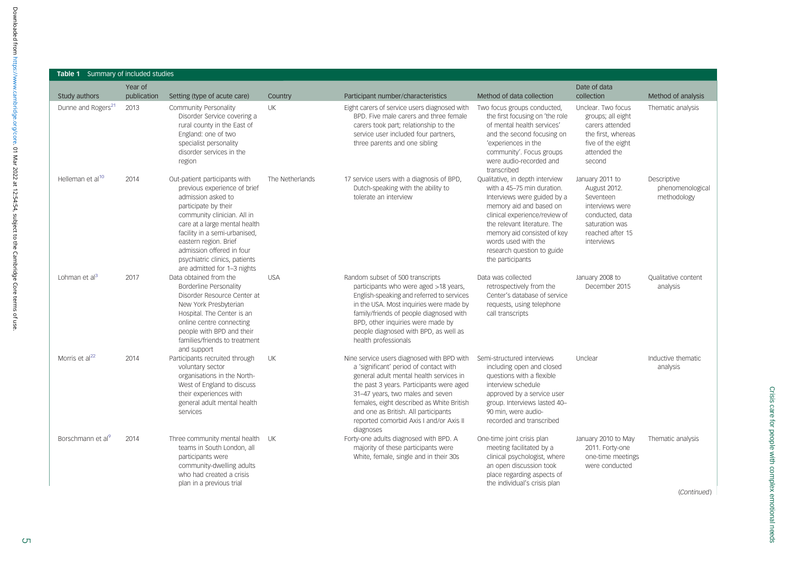| <b>Table 1</b> Summary of included studies |                        |                                                                                                                                                                                                                                                                                                                                    |                 |                                                                                                                                                                                                                                                                                                                                                              |                                                                                                                                                                                                                                                                                                  |                                                                                                                                        |                                                |
|--------------------------------------------|------------------------|------------------------------------------------------------------------------------------------------------------------------------------------------------------------------------------------------------------------------------------------------------------------------------------------------------------------------------|-----------------|--------------------------------------------------------------------------------------------------------------------------------------------------------------------------------------------------------------------------------------------------------------------------------------------------------------------------------------------------------------|--------------------------------------------------------------------------------------------------------------------------------------------------------------------------------------------------------------------------------------------------------------------------------------------------|----------------------------------------------------------------------------------------------------------------------------------------|------------------------------------------------|
| Study authors                              | Year of<br>publication | Setting (type of acute care)                                                                                                                                                                                                                                                                                                       | Country         | Participant number/characteristics                                                                                                                                                                                                                                                                                                                           | Method of data collection                                                                                                                                                                                                                                                                        | Date of data<br>collection                                                                                                             | Method of analysis                             |
| Dunne and Rogers <sup>21</sup>             | 2013                   | Community Personality<br>Disorder Service covering a<br>rural county in the East of<br>England: one of two<br>specialist personality<br>disorder services in the<br>region                                                                                                                                                         | <b>UK</b>       | Eight carers of service users diagnosed with<br>BPD. Five male carers and three female<br>carers took part; relationship to the<br>service user included four partners,<br>three parents and one sibling                                                                                                                                                     | Two focus groups conducted,<br>the first focusing on 'the role<br>of mental health services'<br>and the second focusing on<br>'experiences in the<br>community'. Focus groups<br>were audio-recorded and<br>transcribed                                                                          | Unclear. Two focus<br>groups; all eight<br>carers attended<br>the first, whereas<br>five of the eight<br>attended the<br>second        | Thematic analysis                              |
| Helleman et al <sup>10</sup>               | 2014                   | Out-patient participants with<br>previous experience of brief<br>admission asked to<br>participate by their<br>community clinician. All in<br>care at a large mental health<br>facility in a semi-urbanised,<br>eastern region. Brief<br>admission offered in four<br>psychiatric clinics, patients<br>are admitted for 1-3 nights | The Netherlands | 17 service users with a diagnosis of BPD,<br>Dutch-speaking with the ability to<br>tolerate an interview                                                                                                                                                                                                                                                     | Qualitative, in depth interview<br>with a 45–75 min duration.<br>Interviews were guided by a<br>memory aid and based on<br>clinical experience/review of<br>the relevant literature. The<br>memory aid consisted of key<br>words used with the<br>research question to guide<br>the participants | January 2011 to<br>August 2012.<br>Seventeen<br>interviews were<br>conducted, data<br>saturation was<br>reached after 15<br>interviews | Descriptive<br>phenomenological<br>methodology |
| Lohman et $al3$                            | 2017                   | Data obtained from the<br>Borderline Personality<br>Disorder Resource Center at<br>New York Presbyterian<br>Hospital. The Center is an<br>online centre connecting<br>people with BPD and their<br>families/friends to treatment<br>and support                                                                                    | <b>USA</b>      | Random subset of 500 transcripts<br>participants who were aged >18 years,<br>English-speaking and referred to services<br>in the USA. Most inquiries were made by<br>family/friends of people diagnosed with<br>BPD, other inquiries were made by<br>people diagnosed with BPD, as well as<br>health professionals                                           | Data was collected<br>retrospectively from the<br>Center's database of service<br>requests, using telephone<br>call transcripts                                                                                                                                                                  | January 2008 to<br>December 2015                                                                                                       | Qualitative content<br>analysis                |
| Morris et al <sup>22</sup>                 | 2014                   | Participants recruited through<br>voluntary sector<br>organisations in the North-<br>West of England to discuss<br>their experiences with<br>general adult mental health<br>services                                                                                                                                               | UK              | Nine service users diagnosed with BPD with<br>a 'significant' period of contact with<br>general adult mental health services in<br>the past 3 years. Participants were aged<br>31-47 years, two males and seven<br>females, eight described as White British<br>and one as British. All participants<br>reported comorbid Axis I and/or Axis II<br>diagnoses | Semi-structured interviews<br>including open and closed<br>questions with a flexible<br>interview schedule<br>approved by a service user<br>group. Interviews lasted 40-<br>90 min, were audio-<br>recorded and transcribed                                                                      | Unclear                                                                                                                                | Inductive thematic<br>analysis                 |
| Borschmann et al <sup>9</sup>              | 2014                   | Three community mental health UK<br>teams in South London, all<br>participants were<br>community-dwelling adults<br>who had created a crisis<br>plan in a previous trial                                                                                                                                                           |                 | Forty-one adults diagnosed with BPD. A<br>majority of these participants were<br>White, female, single and in their 30s                                                                                                                                                                                                                                      | One-time joint crisis plan<br>meeting facilitated by a<br>clinical psychologist, where<br>an open discussion took<br>place regarding aspects of<br>the individual's crisis plan                                                                                                                  | January 2010 to May<br>2011. Forty-one<br>one-time meetings<br>were conducted                                                          | Thematic analysis                              |

(Continued)

<span id="page-4-0"></span> $\overline{\phantom{a}}$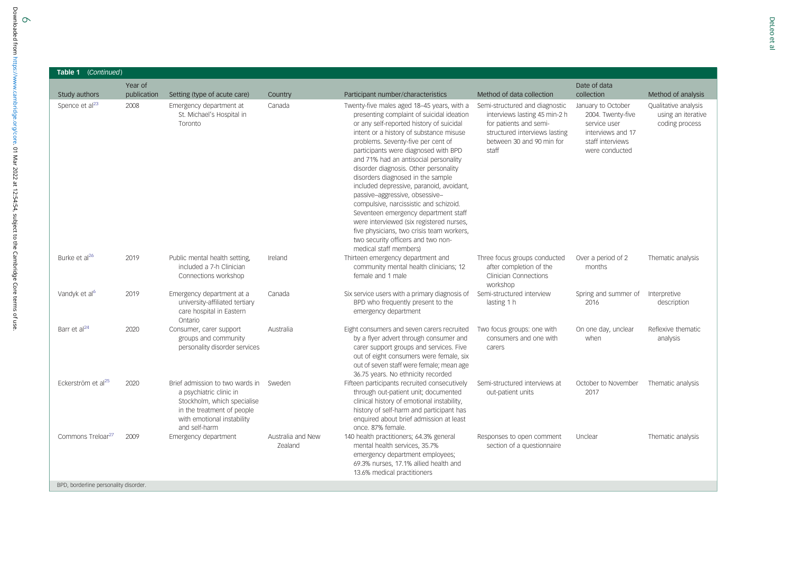| Table 1 (Continued)                   |                        |                                                                                                                                                                        |                                     |                                                                                                                                                                                                                                                                                                                                                                                                                                                                                                                                                                                                                                                                                                              |                                                                                                                                                                  |                                                                                                                    |                                                              |
|---------------------------------------|------------------------|------------------------------------------------------------------------------------------------------------------------------------------------------------------------|-------------------------------------|--------------------------------------------------------------------------------------------------------------------------------------------------------------------------------------------------------------------------------------------------------------------------------------------------------------------------------------------------------------------------------------------------------------------------------------------------------------------------------------------------------------------------------------------------------------------------------------------------------------------------------------------------------------------------------------------------------------|------------------------------------------------------------------------------------------------------------------------------------------------------------------|--------------------------------------------------------------------------------------------------------------------|--------------------------------------------------------------|
| Study authors                         | Year of<br>publication | Setting (type of acute care)                                                                                                                                           | Country                             | Participant number/characteristics                                                                                                                                                                                                                                                                                                                                                                                                                                                                                                                                                                                                                                                                           | Method of data collection                                                                                                                                        | Date of data<br>collection                                                                                         | Method of analysis                                           |
| Spence et al <sup>23</sup>            | 2008                   | Emergency department at<br>St. Michael's Hospital in<br>Toronto                                                                                                        | Canada                              | Twenty-five males aged 18-45 years, with a<br>presenting complaint of suicidal ideation<br>or any self-reported history of suicidal<br>intent or a history of substance misuse<br>problems. Seventy-five per cent of<br>participants were diagnosed with BPD<br>and 71% had an antisocial personality<br>disorder diagnosis. Other personality<br>disorders diagnosed in the sample<br>included depressive, paranoid, avoidant,<br>passive-aggressive, obsessive-<br>compulsive, narcissistic and schizoid.<br>Seventeen emergency department staff<br>were interviewed (six registered nurses,<br>five physicians, two crisis team workers,<br>two security officers and two non-<br>medical staff members) | Semi-structured and diagnostic<br>interviews lasting 45 min-2 h<br>for patients and semi-<br>structured interviews lasting<br>between 30 and 90 min for<br>staff | January to October<br>2004. Twenty-five<br>service user<br>interviews and 17<br>staff interviews<br>were conducted | Qualitative analysis<br>using an iterative<br>coding process |
| Burke et al <sup>26</sup>             | 2019                   | Public mental health setting,<br>included a 7-h Clinician<br>Connections workshop                                                                                      | Ireland                             | Thirteen emergency department and<br>community mental health clinicians; 12<br>female and 1 male                                                                                                                                                                                                                                                                                                                                                                                                                                                                                                                                                                                                             | Three focus groups conducted<br>after completion of the<br><b>Clinician Connections</b><br>workshop                                                              | Over a period of 2<br>months                                                                                       | Thematic analysis                                            |
| Vandyk et al <sup>6</sup>             | 2019                   | Emergency department at a<br>university-affiliated tertiary<br>care hospital in Eastern<br>Ontario                                                                     | Canada                              | Six service users with a primary diagnosis of<br>BPD who frequently present to the<br>emergency department                                                                                                                                                                                                                                                                                                                                                                                                                                                                                                                                                                                                   | Semi-structured interview<br>lasting 1 h                                                                                                                         | Spring and summer of<br>2016                                                                                       | Interpretive<br>description                                  |
| Barr et al <sup>24</sup>              | 2020                   | Consumer, carer support<br>groups and community<br>personality disorder services                                                                                       | Australia                           | Eight consumers and seven carers recruited<br>by a flyer advert through consumer and<br>carer support groups and services. Five<br>out of eight consumers were female, six<br>out of seven staff were female; mean age<br>36.75 years. No ethnicity recorded                                                                                                                                                                                                                                                                                                                                                                                                                                                 | Two focus groups: one with<br>consumers and one with<br>carers                                                                                                   | On one day, unclear<br>when                                                                                        | Reflexive thematic<br>analysis                               |
| Eckerström et al <sup>25</sup>        | 2020                   | Brief admission to two wards in<br>a psychiatric clinic in<br>Stockholm, which specialise<br>in the treatment of people<br>with emotional instability<br>and self-harm | Sweden                              | Fifteen participants recruited consecutively<br>through out-patient unit; documented<br>clinical history of emotional instability,<br>history of self-harm and participant has<br>enquired about brief admission at least<br>once, 87% female.                                                                                                                                                                                                                                                                                                                                                                                                                                                               | Semi-structured interviews at<br>out-patient units                                                                                                               | October to November<br>2017                                                                                        | Thematic analysis                                            |
| Commons Treloar <sup>27</sup>         | 2009                   | Emergency department                                                                                                                                                   | Australia and New<br><b>Zealand</b> | 140 health practitioners; 64.3% general<br>mental health services, 35.7%<br>emergency department employees;<br>69.3% nurses, 17.1% allied health and<br>13.6% medical practitioners                                                                                                                                                                                                                                                                                                                                                                                                                                                                                                                          | Responses to open comment<br>section of a questionnaire                                                                                                          | Unclear                                                                                                            | Thematic analysis                                            |
| BPD, borderline personality disorder. |                        |                                                                                                                                                                        |                                     |                                                                                                                                                                                                                                                                                                                                                                                                                                                                                                                                                                                                                                                                                                              |                                                                                                                                                                  |                                                                                                                    |                                                              |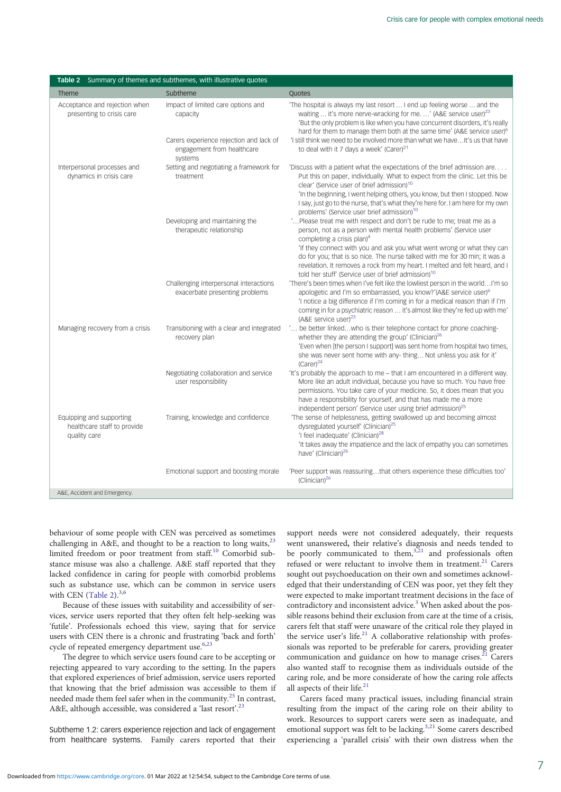|                                                                         | Table 2 Summary of themes and subthemes, with illustrative quotes                |                                                                                                                                                                                                                                                                                                                                                                                      |  |  |  |
|-------------------------------------------------------------------------|----------------------------------------------------------------------------------|--------------------------------------------------------------------------------------------------------------------------------------------------------------------------------------------------------------------------------------------------------------------------------------------------------------------------------------------------------------------------------------|--|--|--|
| Theme                                                                   | Subtheme                                                                         | Quotes                                                                                                                                                                                                                                                                                                                                                                               |  |  |  |
| Acceptance and rejection when<br>presenting to crisis care              | Impact of limited care options and<br>capacity                                   | The hospital is always my last resort  I end up feeling worse  and the<br>waiting  it's more nerve-wracking for me. ' (A&E service user) <sup>23</sup><br>'But the only problem is like when you have concurrent disorders, it's really<br>hard for them to manage them both at the same time' (A&E service user) <sup>6</sup>                                                       |  |  |  |
|                                                                         | Carers experience rejection and lack of<br>engagement from healthcare<br>systems | 'I still think we need to be involved more than what we have It's us that have<br>to deal with it 7 days a week' (Carer) <sup>21</sup>                                                                                                                                                                                                                                               |  |  |  |
| Interpersonal processes and<br>dynamics in crisis care                  | Setting and negotiating a framework for<br>treatment                             | 'Discuss with a patient what the expectations of the brief admission are<br>Put this on paper, individually. What to expect from the clinic. Let this be<br>clear' (Service user of brief admission) <sup>10</sup><br>'In the beginning, I went helping others, you know, but then I stopped. Now<br>I say, just go to the nurse, that's what they're here for. I am here for my own |  |  |  |
|                                                                         |                                                                                  | problems' (Service user brief admission) <sup>10</sup>                                                                                                                                                                                                                                                                                                                               |  |  |  |
|                                                                         | Developing and maintaining the<br>therapeutic relationship                       | 'Please treat me with respect and don't be rude to me; treat me as a<br>person, not as a person with mental health problems' (Service user<br>completing a crisis plan) <sup>4</sup>                                                                                                                                                                                                 |  |  |  |
|                                                                         |                                                                                  | 'If they connect with you and ask you what went wrong or what they can<br>do for you; that is so nice. The nurse talked with me for 30 min; it was a<br>revelation. It removes a rock from my heart. I melted and felt heard, and I<br>told her stuff' (Service user of brief admission) <sup>10</sup>                                                                               |  |  |  |
|                                                                         | Challenging interpersonal interactions<br>exacerbate presenting problems         | 'There's been times when I've felt like the lowliest person in the worldI'm so<br>apologetic and I'm so embarrassed, you know?'(A&E service user) <sup>6</sup><br>'I notice a big difference if I'm coming in for a medical reason than if I'm<br>coming in for a psychiatric reason  it's almost like they're fed up with me'<br>(A&E service user) <sup>23</sup>                   |  |  |  |
| Managing recovery from a crisis                                         | Transitioning with a clear and integrated<br>recovery plan                       | ' be better linkedwho is their telephone contact for phone coaching-<br>whether they are attending the group' (Clinician) <sup>26</sup><br>'Even when [the person I support] was sent home from hospital two times,<br>she was never sent home with any-thing Not unless you ask for it'<br>$(Carer)^{24}$                                                                           |  |  |  |
|                                                                         | Negotiating collaboration and service<br>user responsibility                     | 'It's probably the approach to me - that I am encountered in a different way.<br>More like an adult individual, because you have so much. You have free<br>permissions. You take care of your medicine. So, it does mean that you<br>have a responsibility for yourself, and that has made me a more<br>independent person' (Service user using brief admission) <sup>25</sup>       |  |  |  |
| Equipping and supporting<br>healthcare staff to provide<br>quality care | Training, knowledge and confidence                                               | 'The sense of helplessness, getting swallowed up and becoming almost<br>dysregulated yourself' (Clinician) <sup>25</sup><br>'I feel inadequate' (Clinician) <sup>28</sup><br>'It takes away the impatience and the lack of empathy you can sometimes<br>have' (Clinician) <sup>26</sup>                                                                                              |  |  |  |
|                                                                         | Emotional support and boosting morale                                            | 'Peer support was reassuringthat others experience these difficulties too'<br>$(Clinician)^{26}$                                                                                                                                                                                                                                                                                     |  |  |  |
| A&E, Accident and Emergency.                                            |                                                                                  |                                                                                                                                                                                                                                                                                                                                                                                      |  |  |  |

behaviour of some people with CEN was perceived as sometimes challenging in A&E, and thought to be a reaction to long waits, $23$ limited freedom or poor treatment from staff.<sup>[10](#page-11-0)</sup> Comorbid substance misuse was also a challenge. A&E staff reported that they lacked confidence in caring for people with comorbid problems such as substance use, which can be common in service users with CEN (Table 2). $3,6$  $3,6$  $3,6$ 

Because of these issues with suitability and accessibility of services, service users reported that they often felt help-seeking was 'futile'. Professionals echoed this view, saying that for service users with CEN there is a chronic and frustrating 'back and forth' cycle of repeated emergency department use.<sup>6,23</sup>

The degree to which service users found care to be accepting or rejecting appeared to vary according to the setting. In the papers that explored experiences of brief admission, service users reported that knowing that the brief admission was accessible to them if needed made them feel safer when in the community[.25](#page-11-0) In contrast, A&E, although accessible, was considered a 'last resort'.<sup>[23](#page-11-0)</sup>

Subtheme 1.2: carers experience rejection and lack of engagement from healthcare systems. Family carers reported that their

support needs were not considered adequately, their requests went unanswered, their relative's diagnosis and needs tended to be poorly communicated to them, $3,21$  and professionals often refused or were reluctant to involve them in treatment.<sup>[21](#page-11-0)</sup> Carers sought out psychoeducation on their own and sometimes acknowledged that their understanding of CEN was poor, yet they felt they were expected to make important treatment decisions in the face of contradictory and inconsistent advice.<sup>[3](#page-11-0)</sup> When asked about the possible reasons behind their exclusion from care at the time of a crisis, carers felt that staff were unaware of the critical role they played in the service user's life.<sup>[21](#page-11-0)</sup> A collaborative relationship with professionals was reported to be preferable for carers, providing greater communication and guidance on how to manage crises. $21$  Carers also wanted staff to recognise them as individuals outside of the caring role, and be more considerate of how the caring role affects all aspects of their life.<sup>[21](#page-11-0)</sup>

Carers faced many practical issues, including financial strain resulting from the impact of the caring role on their ability to work. Resources to support carers were seen as inadequate, and emotional support was felt to be lacking.<sup>[3](#page-11-0),[21](#page-11-0)</sup> Some carers described experiencing a 'parallel crisis' with their own distress when the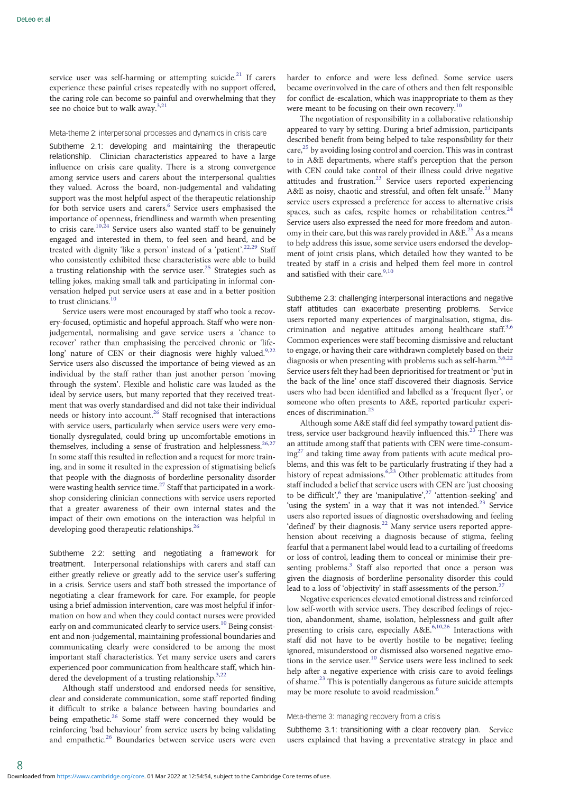service user was self-harming or attempting suicide.<sup>[21](#page-11-0)</sup> If carers experience these painful crises repeatedly with no support offered, the caring role can become so painful and overwhelming that they see no choice but to walk away.<sup>[3,21](#page-11-0)</sup>

#### Meta-theme 2: interpersonal processes and dynamics in crisis care

Subtheme 2.1: developing and maintaining the therapeutic relationship. Clinician characteristics appeared to have a large influence on crisis care quality. There is a strong convergence among service users and carers about the interpersonal qualities they valued. Across the board, non-judgemental and validating support was the most helpful aspect of the therapeutic relationship for both service users and carers.<sup>[6](#page-11-0)</sup> Service users emphasised the importance of openness, friendliness and warmth when presenting to crisis care.<sup>[10](#page-11-0),[24](#page-11-0)</sup> Service users also wanted staff to be genuinely engaged and interested in them, to feel seen and heard, and be treated with dignity 'like a person' instead of a 'patient'.<sup>[22](#page-11-0),[29](#page-11-0)</sup> Staff who consistently exhibited these characteristics were able to build a trusting relationship with the service user.<sup>[25](#page-11-0)</sup> Strategies such as telling jokes, making small talk and participating in informal conversation helped put service users at ease and in a better position to trust clinicians. $^{10}$  $^{10}$  $^{10}$ 

Service users were most encouraged by staff who took a recovery-focused, optimistic and hopeful approach. Staff who were nonjudgemental, normalising and gave service users a 'chance to recover' rather than emphasising the perceived chronic or 'life-long' nature of CEN or their diagnosis were highly valued.<sup>[9,22](#page-11-0)</sup> Service users also discussed the importance of being viewed as an individual by the staff rather than just another person 'moving through the system'. Flexible and holistic care was lauded as the ideal by service users, but many reported that they received treatment that was overly standardised and did not take their individual needs or history into account.<sup>[26](#page-11-0)</sup> Staff recognised that interactions with service users, particularly when service users were very emotionally dysregulated, could bring up uncomfortable emotions in themselves, including a sense of frustration and helplessness.<sup>26,27</sup> In some staff this resulted in reflection and a request for more training, and in some it resulted in the expression of stigmatising beliefs that people with the diagnosis of borderline personality disorder were wasting health service time.<sup>[27](#page-11-0)</sup> Staff that participated in a workshop considering clinician connections with service users reported that a greater awareness of their own internal states and the impact of their own emotions on the interaction was helpful in developing good therapeutic relationships.<sup>[26](#page-11-0)</sup>

Subtheme 2.2: setting and negotiating a framework for treatment. Interpersonal relationships with carers and staff can either greatly relieve or greatly add to the service user's suffering in a crisis. Service users and staff both stressed the importance of negotiating a clear framework for care. For example, for people using a brief admission intervention, care was most helpful if information on how and when they could contact nurses were provided early on and communicated clearly to service users.<sup>[10](#page-11-0)</sup> Being consistent and non-judgemental, maintaining professional boundaries and communicating clearly were considered to be among the most important staff characteristics. Yet many service users and carers experienced poor communication from healthcare staff, which hindered the development of a trusting relationship. $3,22$  $3,22$  $3,22$ 

Although staff understood and endorsed needs for sensitive, clear and considerate communication, some staff reported finding it difficult to strike a balance between having boundaries and being empathetic.<sup>26</sup> Some staff were concerned they would be reinforcing 'bad behaviour' from service users by being validating and empathetic.<sup>26</sup> Boundaries between service users were even

harder to enforce and were less defined. Some service users became overinvolved in the care of others and then felt responsible for conflict de-escalation, which was inappropriate to them as they were meant to be focusing on their own recovery.<sup>[10](#page-11-0)</sup>

The negotiation of responsibility in a collaborative relationship appeared to vary by setting. During a brief admission, participants described benefit from being helped to take responsibility for their care, $^{25}$  $^{25}$  $^{25}$  by avoiding losing control and coercion. This was in contrast to in A&E departments, where staff's perception that the person with CEN could take control of their illness could drive negative attitudes and frustration.<sup>[23](#page-11-0)</sup> Service users reported experiencing A&E as noisy, chaotic and stressful, and often felt unsafe.<sup>[23](#page-11-0)</sup> Many service users expressed a preference for access to alternative crisis spaces, such as cafes, respite homes or rehabilitation centres.<sup>24</sup> Service users also expressed the need for more freedom and autonomy in their care, but this was rarely provided in A&E.<sup>25</sup> As a means to help address this issue, some service users endorsed the development of joint crisis plans, which detailed how they wanted to be treated by staff in a crisis and helped them feel more in control and satisfied with their care.  $\real^{9,10}$  $\real^{9,10}$  $\real^{9,10}$ 

Subtheme 2.3: challenging interpersonal interactions and negative staff attitudes can exacerbate presenting problems. Service users reported many experiences of marginalisation, stigma, discrimination and negative attitudes among healthcare staff. $3,6$ Common experiences were staff becoming dismissive and reluctant to engage, or having their care withdrawn completely based on their diagnosis or when presenting with problems such as self-harm.<sup>[3,6,22](#page-11-0)</sup> Service users felt they had been deprioritised for treatment or 'put in the back of the line' once staff discovered their diagnosis. Service users who had been identified and labelled as a 'frequent flyer', or someone who often presents to A&E, reported particular experi-ences of discrimination.<sup>[23](#page-11-0)</sup>

Although some A&E staff did feel sympathy toward patient distress, service user background heavily influenced this[.23](#page-11-0) There was an attitude among staff that patients with CEN were time-consum- $ing<sup>27</sup>$  $ing<sup>27</sup>$  $ing<sup>27</sup>$  and taking time away from patients with acute medical problems, and this was felt to be particularly frustrating if they had a history of repeat admissions. $6,33$  Other problematic attitudes from staff included a belief that service users with CEN are 'just choosing to be difficult',<sup>[6](#page-11-0)</sup> they are 'manipulative',<sup>[27](#page-11-0)</sup> 'attention-seeking' and 'using the system' in a way that it was not intended. $23$  Service users also reported issues of diagnostic overshadowing and feeling 'defined' by their diagnosis.<sup>[22](#page-11-0)</sup> Many service users reported apprehension about receiving a diagnosis because of stigma, feeling fearful that a permanent label would lead to a curtailing of freedoms or loss of control, leading them to conceal or minimise their pre-senting problems.<sup>[3](#page-11-0)</sup> Staff also reported that once a person was given the diagnosis of borderline personality disorder this could lead to a loss of 'objectivity' in staff assessments of the person.<sup>[27](#page-11-0)</sup>

Negative experiences elevated emotional distress and reinforced low self-worth with service users. They described feelings of rejection, abandonment, shame, isolation, helplessness and guilt after presenting to crisis care, especially  $A \&E^{6,10,26}$  $A \&E^{6,10,26}$  $A \&E^{6,10,26}$  $A \&E^{6,10,26}$  $A \&E^{6,10,26}$  Interactions with staff did not have to be overtly hostile to be negative; feeling ignored, misunderstood or dismissed also worsened negative emo-tions in the service user.<sup>[10](#page-11-0)</sup> Service users were less inclined to seek help after a negative experience with crisis care to avoid feelings of shame.[23](#page-11-0) This is potentially dangerous as future suicide attempts may be more resolute to avoid readmission.<sup>[6](#page-11-0)</sup>

#### Meta-theme 3: managing recovery from a crisis

Subtheme 3.1: transitioning with a clear recovery plan. Service users explained that having a preventative strategy in place and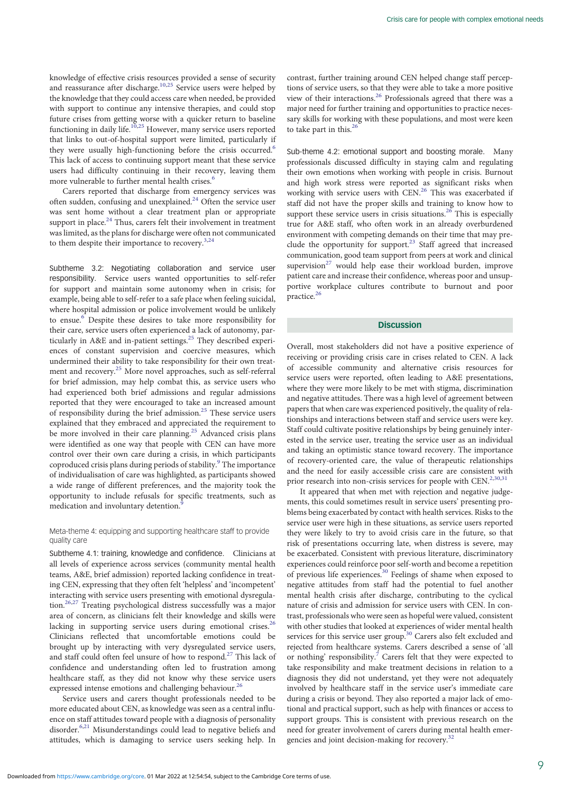knowledge of effective crisis resources provided a sense of security and reassurance after discharge.<sup>10,25</sup> Service users were helped by the knowledge that they could access care when needed, be provided with support to continue any intensive therapies, and could stop future crises from getting worse with a quicker return to baseline functioning in daily life.[10](#page-11-0),[25](#page-11-0) However, many service users reported that links to out-of-hospital support were limited, particularly if they were usually high-functioning before the crisis occurred.<sup>[6](#page-11-0)</sup> This lack of access to continuing support meant that these service users had difficulty continuing in their recovery, leaving them more vulnerable to further mental health crises.<sup>[6](#page-11-0)</sup>

Carers reported that discharge from emergency services was often sudden, confusing and unexplained.<sup>[24](#page-11-0)</sup> Often the service user was sent home without a clear treatment plan or appropriate support in place. $24$  Thus, carers felt their involvement in treatment was limited, as the plans for discharge were often not communicated to them despite their importance to recovery.<sup>[3,24](#page-11-0)</sup>

Subtheme 3.2: Negotiating collaboration and service user responsibility. Service users wanted opportunities to self-refer for support and maintain some autonomy when in crisis; for example, being able to self-refer to a safe place when feeling suicidal, where hospital admission or police involvement would be unlikely to ensue.<sup>[6](#page-11-0)</sup> Despite these desires to take more responsibility for their care, service users often experienced a lack of autonomy, particularly in  $A \& E$  and in-patient settings.<sup>[25](#page-11-0)</sup> They described experiences of constant supervision and coercive measures, which undermined their ability to take responsibility for their own treatment and recovery.[25](#page-11-0) More novel approaches, such as self-referral for brief admission, may help combat this, as service users who had experienced both brief admissions and regular admissions reported that they were encouraged to take an increased amount of responsibility during the brief admission.[25](#page-11-0) These service users explained that they embraced and appreciated the requirement to be more involved in their care planning.<sup>[25](#page-11-0)</sup> Advanced crisis plans were identified as one way that people with CEN can have more control over their own care during a crisis, in which participants coproduced crisis plans during periods of stability.<sup>[9](#page-11-0)</sup> The importance of individualisation of care was highlighted, as participants showed a wide range of different preferences, and the majority took the opportunity to include refusals for specific treatments, such as medication and involuntary detention.[9](#page-11-0)

## Meta-theme 4: equipping and supporting healthcare staff to provide quality care

Subtheme 4.1: training, knowledge and confidence. Clinicians at all levels of experience across services (community mental health teams, A&E, brief admission) reported lacking confidence in treating CEN, expressing that they often felt 'helpless' and 'incompetent' interacting with service users presenting with emotional dysregulation.[26](#page-11-0),[27](#page-11-0) Treating psychological distress successfully was a major area of concern, as clinicians felt their knowledge and skills were lacking in supporting service users during emotional crises.<sup>[26](#page-11-0)</sup> Clinicians reflected that uncomfortable emotions could be brought up by interacting with very dysregulated service users, and staff could often feel unsure of how to respond.<sup>[27](#page-11-0)</sup> This lack of confidence and understanding often led to frustration among healthcare staff, as they did not know why these service users expressed intense emotions and challenging behaviour.<sup>[26](#page-11-0)</sup>

Service users and carers thought professionals needed to be more educated about CEN, as knowledge was seen as a central influence on staff attitudes toward people with a diagnosis of personality disorder.<sup>[6](#page-11-0),[21](#page-11-0)</sup> Misunderstandings could lead to negative beliefs and attitudes, which is damaging to service users seeking help. In

contrast, further training around CEN helped change staff perceptions of service users, so that they were able to take a more positive view of their interactions.[26](#page-11-0) Professionals agreed that there was a major need for further training and opportunities to practice necessary skills for working with these populations, and most were keen to take part in this.<sup>[26](#page-11-0)</sup>

Sub-theme 4.2: emotional support and boosting morale. Many professionals discussed difficulty in staying calm and regulating their own emotions when working with people in crisis. Burnout and high work stress were reported as significant risks when working with service users with CEN.<sup>[26](#page-11-0)</sup> This was exacerbated if staff did not have the proper skills and training to know how to support these service users in crisis situations.<sup>[26](#page-11-0)</sup> This is especially true for A&E staff, who often work in an already overburdened environment with competing demands on their time that may pre-clude the opportunity for support.<sup>[23](#page-11-0)</sup> Staff agreed that increased communication, good team support from peers at work and clinical supervision $^{27}$  $^{27}$  $^{27}$  would help ease their workload burden, improve patient care and increase their confidence, whereas poor and unsupportive workplace cultures contribute to burnout and poor practice. $26$ 

# **Discussion**

Overall, most stakeholders did not have a positive experience of receiving or providing crisis care in crises related to CEN. A lack of accessible community and alternative crisis resources for service users were reported, often leading to A&E presentations, where they were more likely to be met with stigma, discrimination and negative attitudes. There was a high level of agreement between papers that when care was experienced positively, the quality of relationships and interactions between staff and service users were key. Staff could cultivate positive relationships by being genuinely interested in the service user, treating the service user as an individual and taking an optimistic stance toward recovery. The importance of recovery-oriented care, the value of therapeutic relationships and the need for easily accessible crisis care are consistent with prior research into non-crisis services for people with CEN.<sup>[2,30,31](#page-11-0)</sup>

It appeared that when met with rejection and negative judgements, this could sometimes result in service users' presenting problems being exacerbated by contact with health services. Risks to the service user were high in these situations, as service users reported they were likely to try to avoid crisis care in the future, so that risk of presentations occurring late, when distress is severe, may be exacerbated. Consistent with previous literature, discriminatory experiences could reinforce poor self-worth and become a repetition of previous life experiences.[30](#page-11-0) Feelings of shame when exposed to negative attitudes from staff had the potential to fuel another mental health crisis after discharge, contributing to the cyclical nature of crisis and admission for service users with CEN. In contrast, professionals who were seen as hopeful were valued, consistent with other studies that looked at experiences of wider mental health services for this service user group.<sup>[30](#page-11-0)</sup> Carers also felt excluded and rejected from healthcare systems. Carers described a sense of 'all or nothing' responsibility.<sup>7</sup> Carers felt that they were expected to take responsibility and make treatment decisions in relation to a diagnosis they did not understand, yet they were not adequately involved by healthcare staff in the service user's immediate care during a crisis or beyond. They also reported a major lack of emotional and practical support, such as help with finances or access to support groups. This is consistent with previous research on the need for greater involvement of carers during mental health emergencies and joint decision-making for recovery.[32](#page-11-0)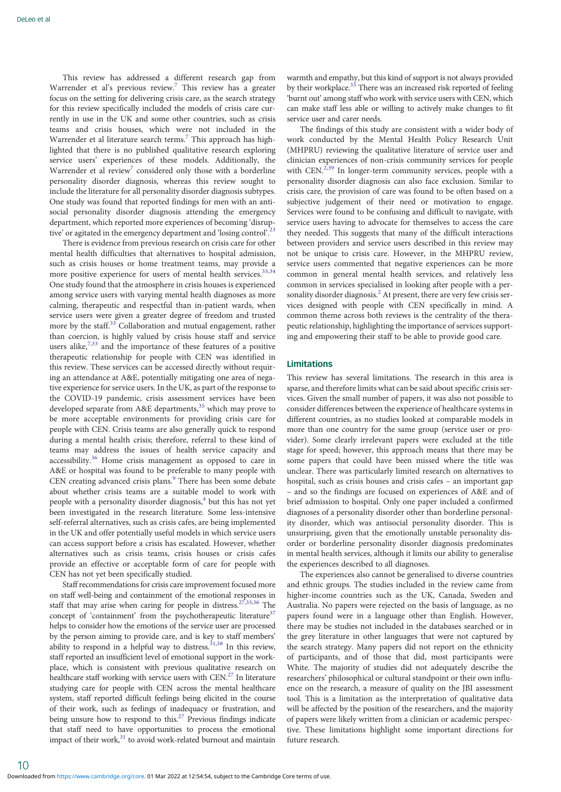This review has addressed a different research gap from Warrender et al's previous review.<sup>[7](#page-11-0)</sup> This review has a greater focus on the setting for delivering crisis care, as the search strategy for this review specifically included the models of crisis care currently in use in the UK and some other countries, such as crisis teams and crisis houses, which were not included in the Warrender et al literature search terms.<sup>[7](#page-11-0)</sup> This approach has highlighted that there is no published qualitative research exploring service users' experiences of these models. Additionally, the Warrender et al review<sup>[7](#page-11-0)</sup> considered only those with a borderline personality disorder diagnosis, whereas this review sought to include the literature for all personality disorder diagnosis subtypes. One study was found that reported findings for men with an antisocial personality disorder diagnosis attending the emergency department, which reported more experiences of becoming 'disrup-tive' or agitated in the emergency department and 'losing control'.<sup>[23](#page-11-0)</sup>

There is evidence from previous research on crisis care for other mental health difficulties that alternatives to hospital admission, such as crisis houses or home treatment teams, may provide a more positive experience for users of mental health services.<sup>33,34</sup> One study found that the atmosphere in crisis houses is experienced among service users with varying mental health diagnoses as more calming, therapeutic and respectful than in-patient wards, when service users were given a greater degree of freedom and trusted more by the staff.[33](#page-11-0) Collaboration and mutual engagement, rather than coercion, is highly valued by crisis house staff and service users alike, $7,33$  $7,33$  $7,33$  and the importance of these features of a positive therapeutic relationship for people with CEN was identified in this review. These services can be accessed directly without requiring an attendance at A&E, potentially mitigating one area of negative experience for service users. In the UK, as part of the response to the COVID-19 pandemic, crisis assessment services have been developed separate from A&E departments,<sup>[35](#page-11-0)</sup> which may prove to be more acceptable environments for providing crisis care for people with CEN. Crisis teams are also generally quick to respond during a mental health crisis; therefore, referral to these kind of teams may address the issues of health service capacity and accessibility.[36](#page-11-0) Home crisis management as opposed to care in A&E or hospital was found to be preferable to many people with CEN creating advanced crisis plans.<sup>[9](#page-11-0)</sup> There has been some debate about whether crisis teams are a suitable model to work with people with a personality disorder diagnosis,<sup>[4](#page-11-0)</sup> but this has not yet been investigated in the research literature. Some less-intensive self-referral alternatives, such as crisis cafes, are being implemented in the UK and offer potentially useful models in which service users can access support before a crisis has escalated. However, whether alternatives such as crisis teams, crisis houses or crisis cafes provide an effective or acceptable form of care for people with CEN has not yet been specifically studied.

Staff recommendations for crisis care improvement focused more on staff well-being and containment of the emotional responses in staff that may arise when caring for people in distress.<sup>27,33,[36](#page-11-0)</sup> The concept of 'containment' from the psychotherapeutic literature $37$ helps to consider how the emotions of the service user are processed by the person aiming to provide care, and is key to staff members' ability to respond in a helpful way to distress.  $31,38$  In this review, staff reported an insufficient level of emotional support in the workplace, which is consistent with previous qualitative research on healthcare staff working with service users with CEN.<sup>[27](#page-11-0)</sup> In literature studying care for people with CEN across the mental healthcare system, staff reported difficult feelings being elicited in the course of their work, such as feelings of inadequacy or frustration, and being unsure how to respond to this.<sup>27</sup> Previous findings indicate that staff need to have opportunities to process the emotional impact of their work,<sup>31</sup> to avoid work-related burnout and maintain

warmth and empathy, but this kind of support is not always provided by their workplace.<sup>[33](#page-11-0)</sup> There was an increased risk reported of feeling 'burnt out' among staff who work with service users with CEN, which can make staff less able or willing to actively make changes to fit service user and carer needs.

The findings of this study are consistent with a wider body of work conducted by the Mental Health Policy Research Unit (MHPRU) reviewing the qualitative literature of service user and clinician experiences of non-crisis community services for people with CEN.<sup>[2,39](#page-11-0)</sup> In longer-term community services, people with a personality disorder diagnosis can also face exclusion. Similar to crisis care, the provision of care was found to be often based on a subjective judgement of their need or motivation to engage. Services were found to be confusing and difficult to navigate, with service users having to advocate for themselves to access the care they needed. This suggests that many of the difficult interactions between providers and service users described in this review may not be unique to crisis care. However, in the MHPRU review, service users commented that negative experiences can be more common in general mental health services, and relatively less common in services specialised in looking after people with a per-sonality disorder diagnosis.<sup>[2](#page-11-0)</sup> At present, there are very few crisis services designed with people with CEN specifically in mind. A common theme across both reviews is the centrality of the therapeutic relationship, highlighting the importance of services supporting and empowering their staff to be able to provide good care.

# Limitations

This review has several limitations. The research in this area is sparse, and therefore limits what can be said about specific crisis services. Given the small number of papers, it was also not possible to consider differences between the experience of healthcare systems in different countries, as no studies looked at comparable models in more than one country for the same group (service user or provider). Some clearly irrelevant papers were excluded at the title stage for speed; however, this approach means that there may be some papers that could have been missed where the title was unclear. There was particularly limited research on alternatives to hospital, such as crisis houses and crisis cafes – an important gap – and so the findings are focused on experiences of A&E and of brief admission to hospital. Only one paper included a confirmed diagnoses of a personality disorder other than borderline personality disorder, which was antisocial personality disorder. This is unsurprising, given that the emotionally unstable personality disorder or borderline personality disorder diagnosis predominates in mental health services, although it limits our ability to generalise the experiences described to all diagnoses.

The experiences also cannot be generalised to diverse countries and ethnic groups. The studies included in the review came from higher-income countries such as the UK, Canada, Sweden and Australia. No papers were rejected on the basis of language, as no papers found were in a language other than English. However, there may be studies not included in the databases searched or in the grey literature in other languages that were not captured by the search strategy. Many papers did not report on the ethnicity of participants, and of those that did, most participants were White. The majority of studies did not adequately describe the researchers' philosophical or cultural standpoint or their own influence on the research, a measure of quality on the JBI assessment tool. This is a limitation as the interpretation of qualitative data will be affected by the position of the researchers, and the majority of papers were likely written from a clinician or academic perspective. These limitations highlight some important directions for future research.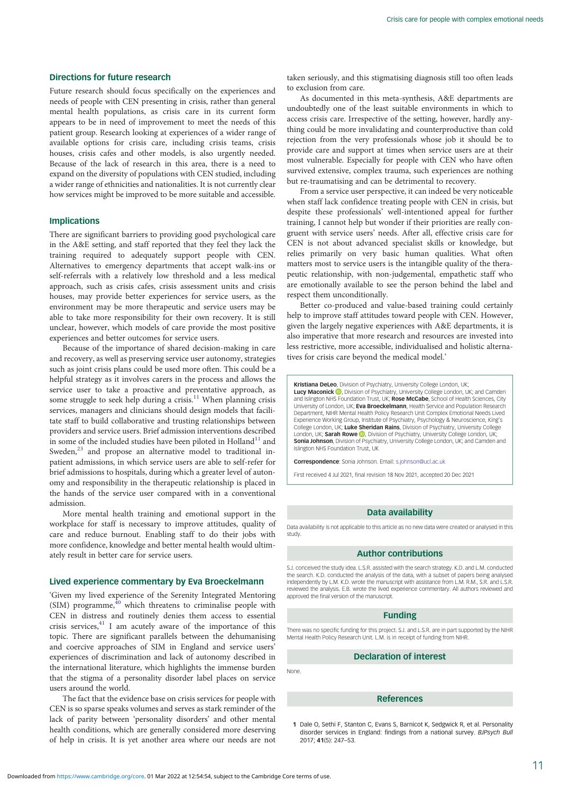## <span id="page-10-0"></span>Directions for future research

Future research should focus specifically on the experiences and needs of people with CEN presenting in crisis, rather than general mental health populations, as crisis care in its current form appears to be in need of improvement to meet the needs of this patient group. Research looking at experiences of a wider range of available options for crisis care, including crisis teams, crisis houses, crisis cafes and other models, is also urgently needed. Because of the lack of research in this area, there is a need to expand on the diversity of populations with CEN studied, including a wider range of ethnicities and nationalities. It is not currently clear how services might be improved to be more suitable and accessible.

#### Implications

There are significant barriers to providing good psychological care in the A&E setting, and staff reported that they feel they lack the training required to adequately support people with CEN. Alternatives to emergency departments that accept walk-ins or self-referrals with a relatively low threshold and a less medical approach, such as crisis cafes, crisis assessment units and crisis houses, may provide better experiences for service users, as the environment may be more therapeutic and service users may be able to take more responsibility for their own recovery. It is still unclear, however, which models of care provide the most positive experiences and better outcomes for service users.

Because of the importance of shared decision-making in care and recovery, as well as preserving service user autonomy, strategies such as joint crisis plans could be used more often. This could be a helpful strategy as it involves carers in the process and allows the service user to take a proactive and preventative approach, as some struggle to seek help during a crisis.<sup>[11](#page-11-0)</sup> When planning crisis services, managers and clinicians should design models that facilitate staff to build collaborative and trusting relationships between providers and service users. Brief admission interventions described in some of the included studies have been piloted in  $H$ olland $11$  and Sweden,<sup>[23](#page-11-0)</sup> and propose an alternative model to traditional inpatient admissions, in which service users are able to self-refer for brief admissions to hospitals, during which a greater level of autonomy and responsibility in the therapeutic relationship is placed in the hands of the service user compared with in a conventional admission.

More mental health training and emotional support in the workplace for staff is necessary to improve attitudes, quality of care and reduce burnout. Enabling staff to do their jobs with more confidence, knowledge and better mental health would ultimately result in better care for service users.

# Lived experience commentary by Eva Broeckelmann

'Given my lived experience of the Serenity Integrated Mentoring  $(SIM)$  programme, $40$  which threatens to criminalise people with CEN in distress and routinely denies them access to essential crisis services, $41$  I am acutely aware of the importance of this topic. There are significant parallels between the dehumanising and coercive approaches of SIM in England and service users' experiences of discrimination and lack of autonomy described in the international literature, which highlights the immense burden that the stigma of a personality disorder label places on service users around the world.

The fact that the evidence base on crisis services for people with CEN is so sparse speaks volumes and serves as stark reminder of the lack of parity between 'personality disorders' and other mental health conditions, which are generally considered more deserving of help in crisis. It is yet another area where our needs are not

taken seriously, and this stigmatising diagnosis still too often leads to exclusion from care.

As documented in this meta-synthesis, A&E departments are undoubtedly one of the least suitable environments in which to access crisis care. Irrespective of the setting, however, hardly anything could be more invalidating and counterproductive than cold rejection from the very professionals whose job it should be to provide care and support at times when service users are at their most vulnerable. Especially for people with CEN who have often survived extensive, complex trauma, such experiences are nothing but re-traumatising and can be detrimental to recovery.

From a service user perspective, it can indeed be very noticeable when staff lack confidence treating people with CEN in crisis, but despite these professionals' well-intentioned appeal for further training, I cannot help but wonder if their priorities are really congruent with service users' needs. After all, effective crisis care for CEN is not about advanced specialist skills or knowledge, but relies primarily on very basic human qualities. What often matters most to service users is the intangible quality of the therapeutic relationship, with non-judgemental, empathetic staff who are emotionally available to see the person behind the label and respect them unconditionally.

Better co-produced and value-based training could certainly help to improve staff attitudes toward people with CEN. However, given the largely negative experiences with A&E departments, it is also imperative that more research and resources are invested into less restrictive, more accessible, individualised and holistic alternatives for crisis care beyond the medical model.'

Kristiana DeLeo, Division of Psychiatry, University College London, UK; Lucy Maconick (D[,](https://orcid.org/0000-0002-0174-367X) Division of Psychiatry, University College London, UK; and Camder<br>and Islington NHS Foundation Trust, UK; Rose McCabe, School of Health Sciences, City University of London, UK; Eva Broeckelmann, Health Service and Population Research Department, NIHR Mental Health Policy Research Unit Complex Emotional Needs Lived Experience Working Group, Institute of Psychiatry, Psychology & Neuroscience, King's College London, UK; Luke Sheridan Rains, Division of Psychiatry, University College London, UK; **Sarah Rowe <mark>O</mark>,** Division of Psychiatry, University College London, UK;<br>**Sonia Johnson**, Division of Psychiatry, University College London, UK; and Camden and Islington NHS Foundation Trust, UK

Correspondence: Sonia Johnson. Email: [s.johnson@ucl.ac.uk](mailto:s.johnson@ucl.ac.uk)

First received 4 Jul 2021, final revision 18 Nov 2021, accepted 20 Dec 2021

#### Data availability

Data availability is not applicable to this article as no new data were created or analysed in this study.

#### Author contributions

S.J. conceived the study idea. L.S.R. assisted with the search strategy. K.D. and L.M. conducted the search. K.D. conducted the analysis of the data, with a subset of papers being analysed independently by L.M. K.D. wrote the manuscript with assistance from L.M. R.M., S.R. and L.S.R. reviewed the analysis. E.B. wrote the lived experience commentary. All authors reviewed and approved the final version of the manuscript.

#### Funding

There was no specific funding for this project. S.J. and L.S.R. are in part supported by the NIHR Mental Health Policy Research Unit. L.M. is in receipt of funding from NIHR.

## Declaration of interest

None.

#### References

1 Dale O, Sethi F, Stanton C, Evans S, Barnicot K, Sedgwick R, et al. Personality disorder services in England: findings from a national survey. BJPsych Bull 2017; 41(5): 247–53.